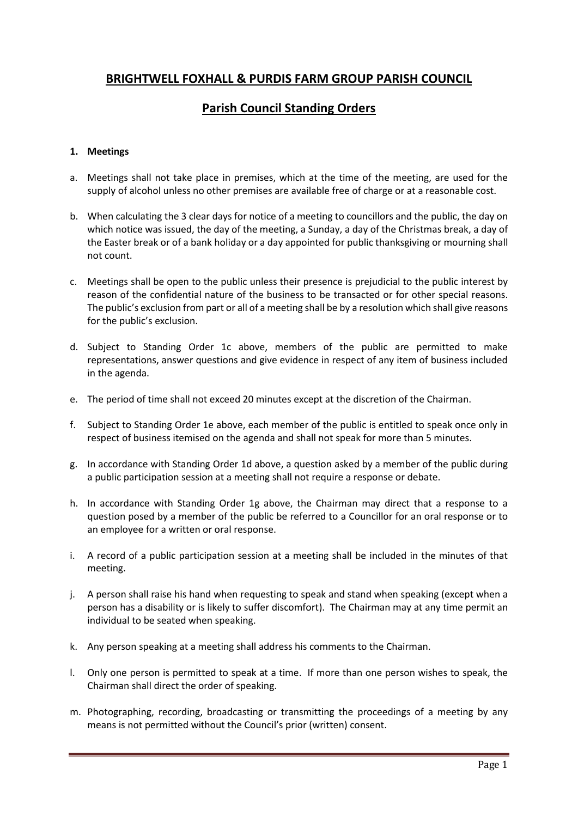# **BRIGHTWELL FOXHALL & PURDIS FARM GROUP PARISH COUNCIL**

# **Parish Council Standing Orders**

# **1. Meetings**

- a. Meetings shall not take place in premises, which at the time of the meeting, are used for the supply of alcohol unless no other premises are available free of charge or at a reasonable cost.
- b. When calculating the 3 clear days for notice of a meeting to councillors and the public, the day on which notice was issued, the day of the meeting, a Sunday, a day of the Christmas break, a day of the Easter break or of a bank holiday or a day appointed for public thanksgiving or mourning shall not count.
- c. Meetings shall be open to the public unless their presence is prejudicial to the public interest by reason of the confidential nature of the business to be transacted or for other special reasons. The public's exclusion from part or all of a meeting shall be by a resolution which shall give reasons for the public's exclusion.
- d. Subject to Standing Order 1c above, members of the public are permitted to make representations, answer questions and give evidence in respect of any item of business included in the agenda.
- e. The period of time shall not exceed 20 minutes except at the discretion of the Chairman.
- f. Subject to Standing Order 1e above, each member of the public is entitled to speak once only in respect of business itemised on the agenda and shall not speak for more than 5 minutes.
- g. In accordance with Standing Order 1d above, a question asked by a member of the public during a public participation session at a meeting shall not require a response or debate.
- h. In accordance with Standing Order 1g above, the Chairman may direct that a response to a question posed by a member of the public be referred to a Councillor for an oral response or to an employee for a written or oral response.
- i. A record of a public participation session at a meeting shall be included in the minutes of that meeting.
- j. A person shall raise his hand when requesting to speak and stand when speaking (except when a person has a disability or is likely to suffer discomfort). The Chairman may at any time permit an individual to be seated when speaking.
- k. Any person speaking at a meeting shall address his comments to the Chairman.
- l. Only one person is permitted to speak at a time. If more than one person wishes to speak, the Chairman shall direct the order of speaking.
- m. Photographing, recording, broadcasting or transmitting the proceedings of a meeting by any means is not permitted without the Council's prior (written) consent.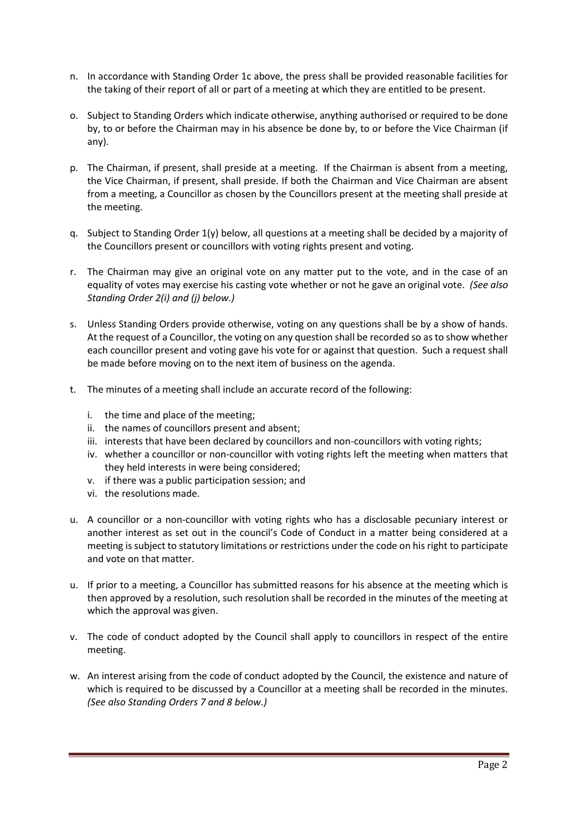- n. In accordance with Standing Order 1c above, the press shall be provided reasonable facilities for the taking of their report of all or part of a meeting at which they are entitled to be present.
- o. Subject to Standing Orders which indicate otherwise, anything authorised or required to be done by, to or before the Chairman may in his absence be done by, to or before the Vice Chairman (if any).
- p. The Chairman, if present, shall preside at a meeting. If the Chairman is absent from a meeting, the Vice Chairman, if present, shall preside. If both the Chairman and Vice Chairman are absent from a meeting, a Councillor as chosen by the Councillors present at the meeting shall preside at the meeting.
- q. Subject to Standing Order 1(y) below, all questions at a meeting shall be decided by a majority of the Councillors present or councillors with voting rights present and voting.
- r. The Chairman may give an original vote on any matter put to the vote, and in the case of an equality of votes may exercise his casting vote whether or not he gave an original vote. *(See also Standing Order 2(i) and (j) below.)*
- s. Unless Standing Orders provide otherwise, voting on any questions shall be by a show of hands. At the request of a Councillor, the voting on any question shall be recorded so as to show whether each councillor present and voting gave his vote for or against that question. Such a request shall be made before moving on to the next item of business on the agenda.
- t. The minutes of a meeting shall include an accurate record of the following:
	- i. the time and place of the meeting;
	- ii. the names of councillors present and absent;
	- iii. interests that have been declared by councillors and non-councillors with voting rights;
	- iv. whether a councillor or non-councillor with voting rights left the meeting when matters that they held interests in were being considered;
	- v. if there was a public participation session; and
	- vi. the resolutions made.
- u. A councillor or a non-councillor with voting rights who has a disclosable pecuniary interest or another interest as set out in the council's Code of Conduct in a matter being considered at a meeting is subject to statutory limitations or restrictions under the code on his right to participate and vote on that matter.
- u. If prior to a meeting, a Councillor has submitted reasons for his absence at the meeting which is then approved by a resolution, such resolution shall be recorded in the minutes of the meeting at which the approval was given.
- v. The code of conduct adopted by the Council shall apply to councillors in respect of the entire meeting.
- w. An interest arising from the code of conduct adopted by the Council, the existence and nature of which is required to be discussed by a Councillor at a meeting shall be recorded in the minutes. *(See also Standing Orders 7 and 8 below.)*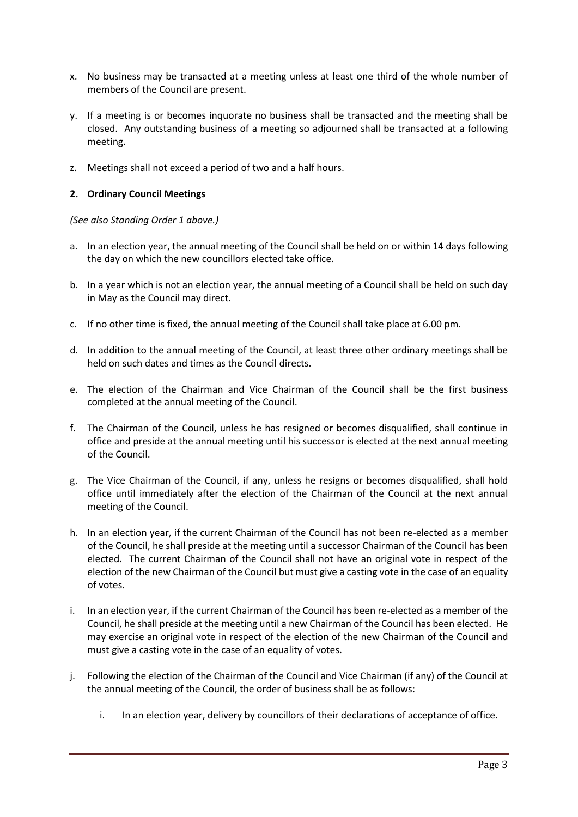- x. No business may be transacted at a meeting unless at least one third of the whole number of members of the Council are present.
- y. If a meeting is or becomes inquorate no business shall be transacted and the meeting shall be closed. Any outstanding business of a meeting so adjourned shall be transacted at a following meeting.
- z. Meetings shall not exceed a period of two and a half hours.

## **2. Ordinary Council Meetings**

### *(See also Standing Order 1 above.)*

- a. In an election year, the annual meeting of the Council shall be held on or within 14 days following the day on which the new councillors elected take office.
- b. In a year which is not an election year, the annual meeting of a Council shall be held on such day in May as the Council may direct.
- c. If no other time is fixed, the annual meeting of the Council shall take place at 6.00 pm.
- d. In addition to the annual meeting of the Council, at least three other ordinary meetings shall be held on such dates and times as the Council directs.
- e. The election of the Chairman and Vice Chairman of the Council shall be the first business completed at the annual meeting of the Council.
- f. The Chairman of the Council, unless he has resigned or becomes disqualified, shall continue in office and preside at the annual meeting until his successor is elected at the next annual meeting of the Council.
- g. The Vice Chairman of the Council, if any, unless he resigns or becomes disqualified, shall hold office until immediately after the election of the Chairman of the Council at the next annual meeting of the Council.
- h. In an election year, if the current Chairman of the Council has not been re-elected as a member of the Council, he shall preside at the meeting until a successor Chairman of the Council has been elected. The current Chairman of the Council shall not have an original vote in respect of the election of the new Chairman of the Council but must give a casting vote in the case of an equality of votes.
- i. In an election year, if the current Chairman of the Council has been re-elected as a member of the Council, he shall preside at the meeting until a new Chairman of the Council has been elected. He may exercise an original vote in respect of the election of the new Chairman of the Council and must give a casting vote in the case of an equality of votes.
- j. Following the election of the Chairman of the Council and Vice Chairman (if any) of the Council at the annual meeting of the Council, the order of business shall be as follows:
	- i. In an election year, delivery by councillors of their declarations of acceptance of office.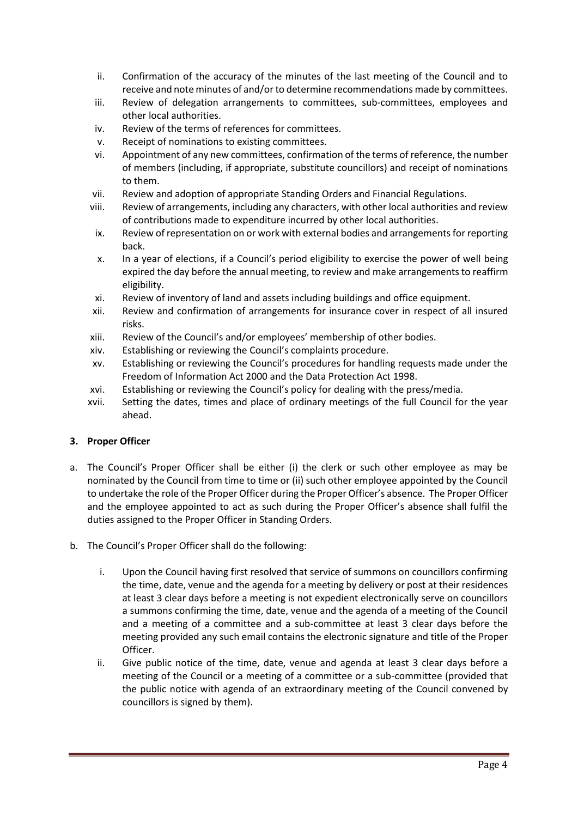- ii. Confirmation of the accuracy of the minutes of the last meeting of the Council and to receive and note minutes of and/or to determine recommendations made by committees.
- iii. Review of delegation arrangements to committees, sub-committees, employees and other local authorities.
- iv. Review of the terms of references for committees.
- v. Receipt of nominations to existing committees.
- vi. Appointment of any new committees, confirmation of the terms of reference, the number of members (including, if appropriate, substitute councillors) and receipt of nominations to them.
- vii. Review and adoption of appropriate Standing Orders and Financial Regulations.
- viii. Review of arrangements, including any characters, with other local authorities and review of contributions made to expenditure incurred by other local authorities.
	- ix. Review of representation on or work with external bodies and arrangements for reporting back.
	- x. In a year of elections, if a Council's period eligibility to exercise the power of well being expired the day before the annual meeting, to review and make arrangements to reaffirm eligibility.
- xi. Review of inventory of land and assets including buildings and office equipment.
- xii. Review and confirmation of arrangements for insurance cover in respect of all insured risks.
- xiii. Review of the Council's and/or employees' membership of other bodies.
- xiv. Establishing or reviewing the Council's complaints procedure.
- xv. Establishing or reviewing the Council's procedures for handling requests made under the Freedom of Information Act 2000 and the Data Protection Act 1998.
- xvi. Establishing or reviewing the Council's policy for dealing with the press/media.
- xvii. Setting the dates, times and place of ordinary meetings of the full Council for the year ahead.

### **3. Proper Officer**

- a. The Council's Proper Officer shall be either (i) the clerk or such other employee as may be nominated by the Council from time to time or (ii) such other employee appointed by the Council to undertake the role of the Proper Officer during the Proper Officer's absence. The Proper Officer and the employee appointed to act as such during the Proper Officer's absence shall fulfil the duties assigned to the Proper Officer in Standing Orders.
- b. The Council's Proper Officer shall do the following:
	- i. Upon the Council having first resolved that service of summons on councillors confirming the time, date, venue and the agenda for a meeting by delivery or post at their residences at least 3 clear days before a meeting is not expedient electronically serve on councillors a summons confirming the time, date, venue and the agenda of a meeting of the Council and a meeting of a committee and a sub-committee at least 3 clear days before the meeting provided any such email contains the electronic signature and title of the Proper Officer.
	- ii. Give public notice of the time, date, venue and agenda at least 3 clear days before a meeting of the Council or a meeting of a committee or a sub-committee (provided that the public notice with agenda of an extraordinary meeting of the Council convened by councillors is signed by them).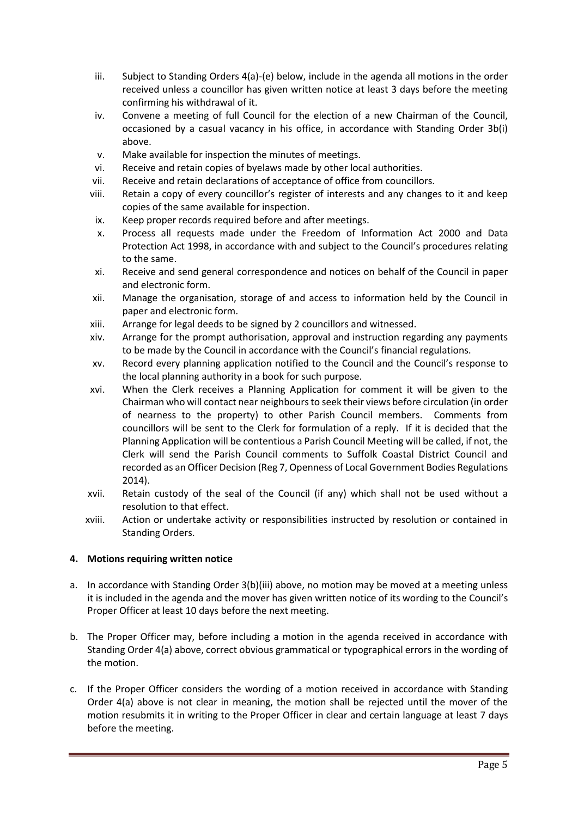- iii. Subject to Standing Orders 4(a)-(e) below, include in the agenda all motions in the order received unless a councillor has given written notice at least 3 days before the meeting confirming his withdrawal of it.
- iv. Convene a meeting of full Council for the election of a new Chairman of the Council, occasioned by a casual vacancy in his office, in accordance with Standing Order 3b(i) above.
- v. Make available for inspection the minutes of meetings.
- vi. Receive and retain copies of byelaws made by other local authorities.
- vii. Receive and retain declarations of acceptance of office from councillors.
- viii. Retain a copy of every councillor's register of interests and any changes to it and keep copies of the same available for inspection.
- ix. Keep proper records required before and after meetings.
- x. Process all requests made under the Freedom of Information Act 2000 and Data Protection Act 1998, in accordance with and subject to the Council's procedures relating to the same.
- xi. Receive and send general correspondence and notices on behalf of the Council in paper and electronic form.
- xii. Manage the organisation, storage of and access to information held by the Council in paper and electronic form.
- xiii. Arrange for legal deeds to be signed by 2 councillors and witnessed.
- xiv. Arrange for the prompt authorisation, approval and instruction regarding any payments to be made by the Council in accordance with the Council's financial regulations.
- xv. Record every planning application notified to the Council and the Council's response to the local planning authority in a book for such purpose.
- xvi. When the Clerk receives a Planning Application for comment it will be given to the Chairman who will contact near neighbours to seek their views before circulation (in order of nearness to the property) to other Parish Council members. Comments from councillors will be sent to the Clerk for formulation of a reply. If it is decided that the Planning Application will be contentious a Parish Council Meeting will be called, if not, the Clerk will send the Parish Council comments to Suffolk Coastal District Council and recorded as an Officer Decision (Reg 7, Openness of Local Government Bodies Regulations 2014).
- xvii. Retain custody of the seal of the Council (if any) which shall not be used without a resolution to that effect.
- xviii. Action or undertake activity or responsibilities instructed by resolution or contained in Standing Orders.

# **4. Motions requiring written notice**

- a. In accordance with Standing Order 3(b)(iii) above, no motion may be moved at a meeting unless it is included in the agenda and the mover has given written notice of its wording to the Council's Proper Officer at least 10 days before the next meeting.
- b. The Proper Officer may, before including a motion in the agenda received in accordance with Standing Order 4(a) above, correct obvious grammatical or typographical errors in the wording of the motion.
- c. If the Proper Officer considers the wording of a motion received in accordance with Standing Order 4(a) above is not clear in meaning, the motion shall be rejected until the mover of the motion resubmits it in writing to the Proper Officer in clear and certain language at least 7 days before the meeting.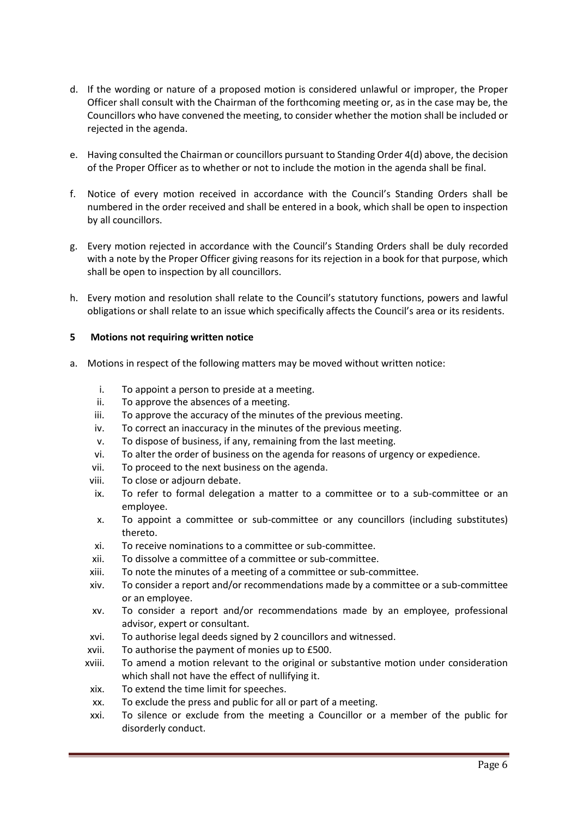- d. If the wording or nature of a proposed motion is considered unlawful or improper, the Proper Officer shall consult with the Chairman of the forthcoming meeting or, as in the case may be, the Councillors who have convened the meeting, to consider whether the motion shall be included or rejected in the agenda.
- e. Having consulted the Chairman or councillors pursuant to Standing Order 4(d) above, the decision of the Proper Officer as to whether or not to include the motion in the agenda shall be final.
- f. Notice of every motion received in accordance with the Council's Standing Orders shall be numbered in the order received and shall be entered in a book, which shall be open to inspection by all councillors.
- g. Every motion rejected in accordance with the Council's Standing Orders shall be duly recorded with a note by the Proper Officer giving reasons for its rejection in a book for that purpose, which shall be open to inspection by all councillors.
- h. Every motion and resolution shall relate to the Council's statutory functions, powers and lawful obligations or shall relate to an issue which specifically affects the Council's area or its residents.

# **5 Motions not requiring written notice**

- a. Motions in respect of the following matters may be moved without written notice:
	- i. To appoint a person to preside at a meeting.
	- ii. To approve the absences of a meeting.
	- iii. To approve the accuracy of the minutes of the previous meeting.
	- iv. To correct an inaccuracy in the minutes of the previous meeting.
	- v. To dispose of business, if any, remaining from the last meeting.
	- vi. To alter the order of business on the agenda for reasons of urgency or expedience.
	- vii. To proceed to the next business on the agenda.
	- viii. To close or adjourn debate.
	- ix. To refer to formal delegation a matter to a committee or to a sub-committee or an employee.
	- x. To appoint a committee or sub-committee or any councillors (including substitutes) thereto.
	- xi. To receive nominations to a committee or sub-committee.
	- xii. To dissolve a committee of a committee or sub-committee.
	- xiii. To note the minutes of a meeting of a committee or sub-committee.
	- xiv. To consider a report and/or recommendations made by a committee or a sub-committee or an employee.
	- xv. To consider a report and/or recommendations made by an employee, professional advisor, expert or consultant.
	- xvi. To authorise legal deeds signed by 2 councillors and witnessed.
	- xvii. To authorise the payment of monies up to £500.
	- xviii. To amend a motion relevant to the original or substantive motion under consideration which shall not have the effect of nullifying it.
	- xix. To extend the time limit for speeches.
	- xx. To exclude the press and public for all or part of a meeting.
	- xxi. To silence or exclude from the meeting a Councillor or a member of the public for disorderly conduct.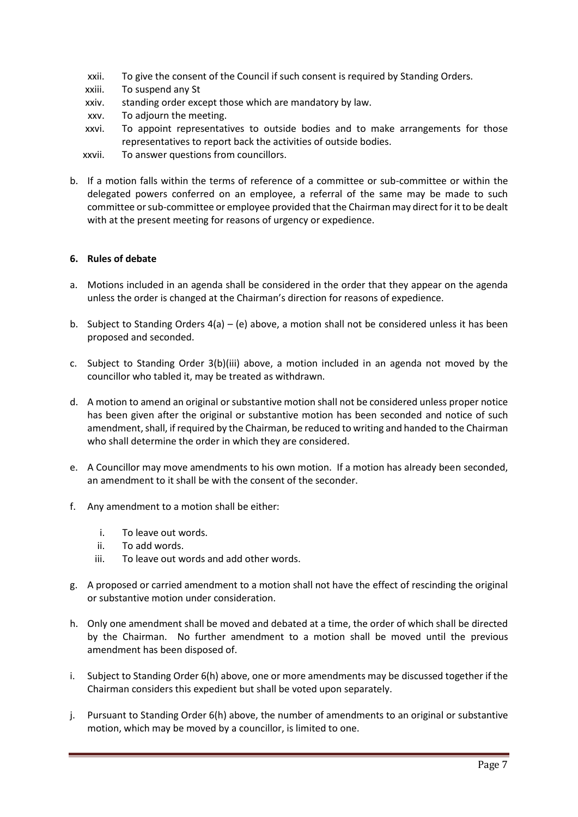- xxii. To give the consent of the Council if such consent is required by Standing Orders.
- xxiii. To suspend any St
- xxiv. standing order except those which are mandatory by law.
- xxv. To adjourn the meeting.
- xxvi. To appoint representatives to outside bodies and to make arrangements for those representatives to report back the activities of outside bodies.
- xxvii. To answer questions from councillors.
- b. If a motion falls within the terms of reference of a committee or sub-committee or within the delegated powers conferred on an employee, a referral of the same may be made to such committee or sub-committee or employee provided that the Chairman may direct for it to be dealt with at the present meeting for reasons of urgency or expedience.

### **6. Rules of debate**

- a. Motions included in an agenda shall be considered in the order that they appear on the agenda unless the order is changed at the Chairman's direction for reasons of expedience.
- b. Subject to Standing Orders  $4(a) (e)$  above, a motion shall not be considered unless it has been proposed and seconded.
- c. Subject to Standing Order 3(b)(iii) above, a motion included in an agenda not moved by the councillor who tabled it, may be treated as withdrawn.
- d. A motion to amend an original or substantive motion shall not be considered unless proper notice has been given after the original or substantive motion has been seconded and notice of such amendment, shall, if required by the Chairman, be reduced to writing and handed to the Chairman who shall determine the order in which they are considered.
- e. A Councillor may move amendments to his own motion. If a motion has already been seconded, an amendment to it shall be with the consent of the seconder.
- f. Any amendment to a motion shall be either:
	- i. To leave out words.
	- ii. To add words.
	- iii. To leave out words and add other words.
- g. A proposed or carried amendment to a motion shall not have the effect of rescinding the original or substantive motion under consideration.
- h. Only one amendment shall be moved and debated at a time, the order of which shall be directed by the Chairman. No further amendment to a motion shall be moved until the previous amendment has been disposed of.
- i. Subject to Standing Order 6(h) above, one or more amendments may be discussed together if the Chairman considers this expedient but shall be voted upon separately.
- j. Pursuant to Standing Order 6(h) above, the number of amendments to an original or substantive motion, which may be moved by a councillor, is limited to one.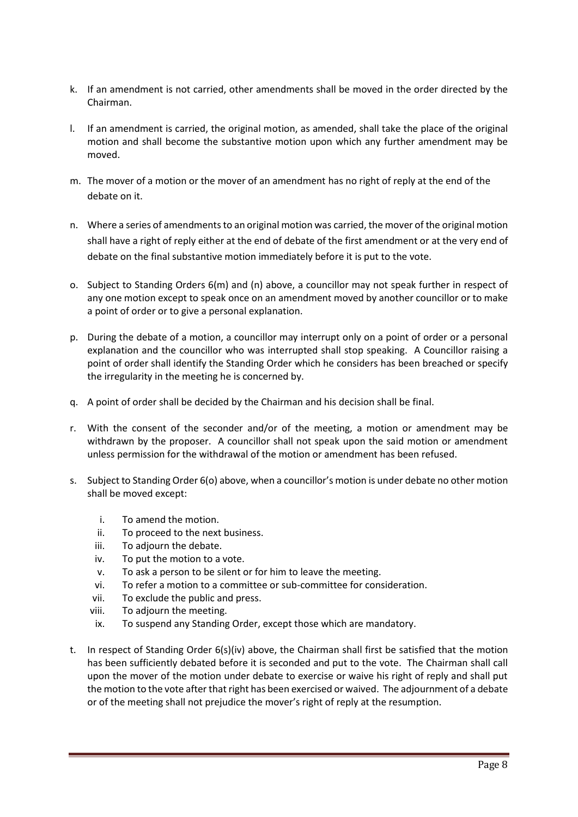- k. If an amendment is not carried, other amendments shall be moved in the order directed by the Chairman.
- l. If an amendment is carried, the original motion, as amended, shall take the place of the original motion and shall become the substantive motion upon which any further amendment may be moved.
- m. The mover of a motion or the mover of an amendment has no right of reply at the end of the debate on it.
- n. Where a series of amendments to an original motion was carried, the mover of the original motion shall have a right of reply either at the end of debate of the first amendment or at the very end of debate on the final substantive motion immediately before it is put to the vote.
- o. Subject to Standing Orders 6(m) and (n) above, a councillor may not speak further in respect of any one motion except to speak once on an amendment moved by another councillor or to make a point of order or to give a personal explanation.
- p. During the debate of a motion, a councillor may interrupt only on a point of order or a personal explanation and the councillor who was interrupted shall stop speaking. A Councillor raising a point of order shall identify the Standing Order which he considers has been breached or specify the irregularity in the meeting he is concerned by.
- q. A point of order shall be decided by the Chairman and his decision shall be final.
- r. With the consent of the seconder and/or of the meeting, a motion or amendment may be withdrawn by the proposer. A councillor shall not speak upon the said motion or amendment unless permission for the withdrawal of the motion or amendment has been refused.
- s. Subject to Standing Order 6(o) above, when a councillor's motion is under debate no other motion shall be moved except:
	- i. To amend the motion.
	- ii. To proceed to the next business.
	- iii. To adjourn the debate.
	- iv. To put the motion to a vote.
	- v. To ask a person to be silent or for him to leave the meeting.
	- vi. To refer a motion to a committee or sub-committee for consideration.
	- vii. To exclude the public and press.
	- viii. To adjourn the meeting.
	- ix. To suspend any Standing Order, except those which are mandatory.
- t. In respect of Standing Order 6(s)(iv) above, the Chairman shall first be satisfied that the motion has been sufficiently debated before it is seconded and put to the vote. The Chairman shall call upon the mover of the motion under debate to exercise or waive his right of reply and shall put the motion to the vote after that right has been exercised or waived. The adjournment of a debate or of the meeting shall not prejudice the mover's right of reply at the resumption.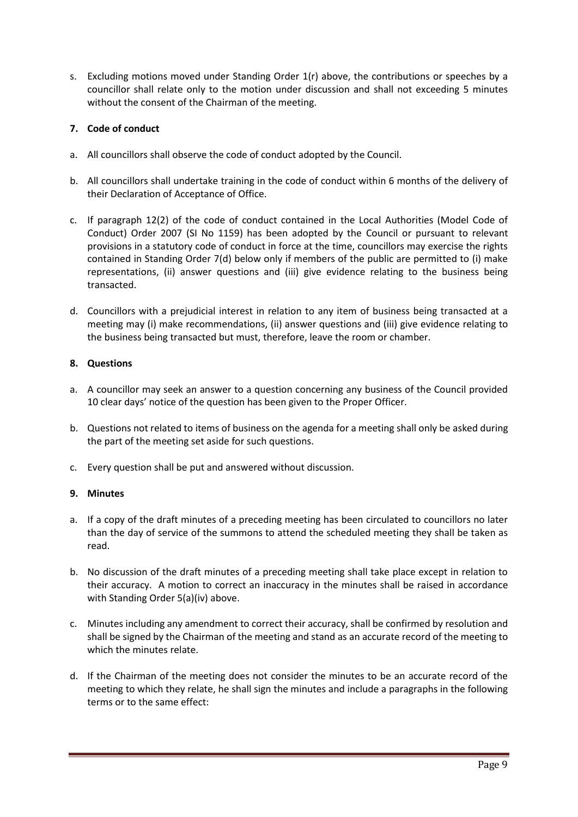s. Excluding motions moved under Standing Order 1(r) above, the contributions or speeches by a councillor shall relate only to the motion under discussion and shall not exceeding 5 minutes without the consent of the Chairman of the meeting.

# **7. Code of conduct**

- a. All councillors shall observe the code of conduct adopted by the Council.
- b. All councillors shall undertake training in the code of conduct within 6 months of the delivery of their Declaration of Acceptance of Office.
- c. If paragraph 12(2) of the code of conduct contained in the Local Authorities (Model Code of Conduct) Order 2007 (SI No 1159) has been adopted by the Council or pursuant to relevant provisions in a statutory code of conduct in force at the time, councillors may exercise the rights contained in Standing Order 7(d) below only if members of the public are permitted to (i) make representations, (ii) answer questions and (iii) give evidence relating to the business being transacted.
- d. Councillors with a prejudicial interest in relation to any item of business being transacted at a meeting may (i) make recommendations, (ii) answer questions and (iii) give evidence relating to the business being transacted but must, therefore, leave the room or chamber.

# **8. Questions**

- a. A councillor may seek an answer to a question concerning any business of the Council provided 10 clear days' notice of the question has been given to the Proper Officer.
- b. Questions not related to items of business on the agenda for a meeting shall only be asked during the part of the meeting set aside for such questions.
- c. Every question shall be put and answered without discussion.

### **9. Minutes**

- a. If a copy of the draft minutes of a preceding meeting has been circulated to councillors no later than the day of service of the summons to attend the scheduled meeting they shall be taken as read.
- b. No discussion of the draft minutes of a preceding meeting shall take place except in relation to their accuracy. A motion to correct an inaccuracy in the minutes shall be raised in accordance with Standing Order 5(a)(iv) above.
- c. Minutes including any amendment to correct their accuracy, shall be confirmed by resolution and shall be signed by the Chairman of the meeting and stand as an accurate record of the meeting to which the minutes relate.
- d. If the Chairman of the meeting does not consider the minutes to be an accurate record of the meeting to which they relate, he shall sign the minutes and include a paragraphs in the following terms or to the same effect: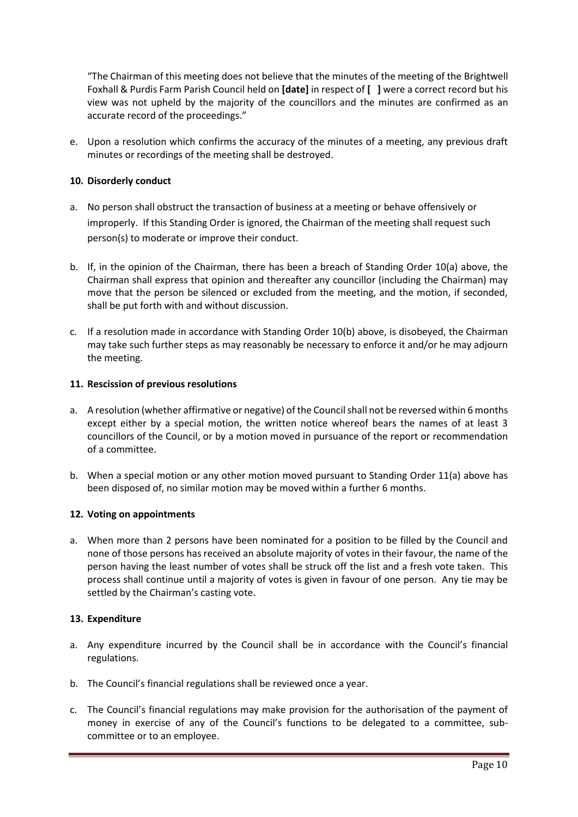"The Chairman of this meeting does not believe that the minutes of the meeting of the Brightwell Foxhall & Purdis Farm Parish Council held on **[date]** in respect of **[ ]** were a correct record but his view was not upheld by the majority of the councillors and the minutes are confirmed as an accurate record of the proceedings."

e. Upon a resolution which confirms the accuracy of the minutes of a meeting, any previous draft minutes or recordings of the meeting shall be destroyed.

# **10. Disorderly conduct**

- a. No person shall obstruct the transaction of business at a meeting or behave offensively or improperly. If this Standing Order is ignored, the Chairman of the meeting shall request such person(s) to moderate or improve their conduct.
- b. If, in the opinion of the Chairman, there has been a breach of Standing Order 10(a) above, the Chairman shall express that opinion and thereafter any councillor (including the Chairman) may move that the person be silenced or excluded from the meeting, and the motion, if seconded, shall be put forth with and without discussion.
- c. If a resolution made in accordance with Standing Order 10(b) above, is disobeyed, the Chairman may take such further steps as may reasonably be necessary to enforce it and/or he may adjourn the meeting.

### **11. Rescission of previous resolutions**

- a. A resolution (whether affirmative or negative) of the Council shall not be reversed within 6 months except either by a special motion, the written notice whereof bears the names of at least 3 councillors of the Council, or by a motion moved in pursuance of the report or recommendation of a committee.
- b. When a special motion or any other motion moved pursuant to Standing Order 11(a) above has been disposed of, no similar motion may be moved within a further 6 months.

### **12. Voting on appointments**

a. When more than 2 persons have been nominated for a position to be filled by the Council and none of those persons has received an absolute majority of votes in their favour, the name of the person having the least number of votes shall be struck off the list and a fresh vote taken. This process shall continue until a majority of votes is given in favour of one person. Any tie may be settled by the Chairman's casting vote.

### **13. Expenditure**

- a. Any expenditure incurred by the Council shall be in accordance with the Council's financial regulations.
- b. The Council's financial regulations shall be reviewed once a year.
- c. The Council's financial regulations may make provision for the authorisation of the payment of money in exercise of any of the Council's functions to be delegated to a committee, subcommittee or to an employee.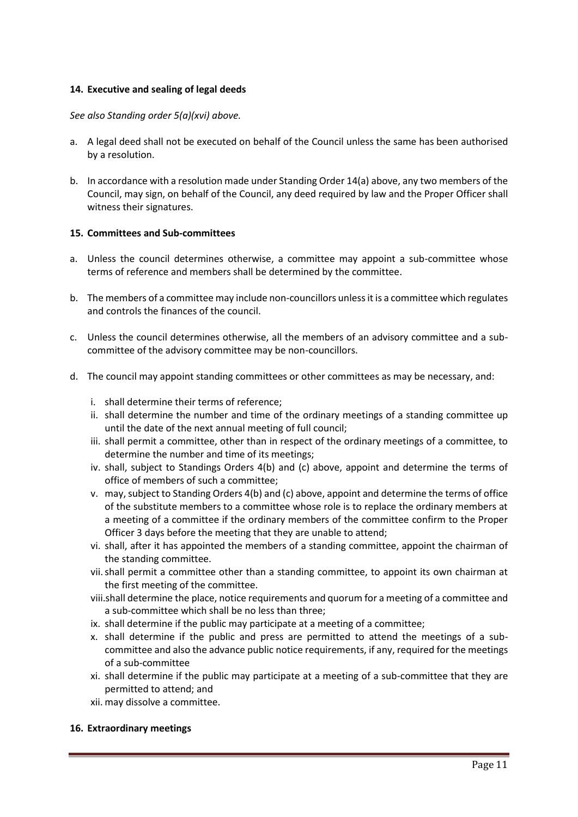## **14. Executive and sealing of legal deeds**

### *See also Standing order 5(a)(xvi) above.*

- a. A legal deed shall not be executed on behalf of the Council unless the same has been authorised by a resolution.
- b. In accordance with a resolution made under Standing Order 14(a) above, any two members of the Council, may sign, on behalf of the Council, any deed required by law and the Proper Officer shall witness their signatures.

### **15. Committees and Sub-committees**

- a. Unless the council determines otherwise, a committee may appoint a sub-committee whose terms of reference and members shall be determined by the committee.
- b. The members of a committee may include non-councillors unless it is a committee which regulates and controls the finances of the council.
- c. Unless the council determines otherwise, all the members of an advisory committee and a subcommittee of the advisory committee may be non-councillors.
- d. The council may appoint standing committees or other committees as may be necessary, and:
	- i. shall determine their terms of reference;
	- ii. shall determine the number and time of the ordinary meetings of a standing committee up until the date of the next annual meeting of full council;
	- iii. shall permit a committee, other than in respect of the ordinary meetings of a committee, to determine the number and time of its meetings;
	- iv. shall, subject to Standings Orders 4(b) and (c) above, appoint and determine the terms of office of members of such a committee;
	- v. may, subject to Standing Orders 4(b) and (c) above, appoint and determine the terms of office of the substitute members to a committee whose role is to replace the ordinary members at a meeting of a committee if the ordinary members of the committee confirm to the Proper Officer 3 days before the meeting that they are unable to attend;
	- vi. shall, after it has appointed the members of a standing committee, appoint the chairman of the standing committee.
	- vii.shall permit a committee other than a standing committee, to appoint its own chairman at the first meeting of the committee.
	- viii.shall determine the place, notice requirements and quorum for a meeting of a committee and a sub-committee which shall be no less than three;
	- ix. shall determine if the public may participate at a meeting of a committee;
	- x. shall determine if the public and press are permitted to attend the meetings of a subcommittee and also the advance public notice requirements, if any, required for the meetings of a sub-committee
	- xi. shall determine if the public may participate at a meeting of a sub-committee that they are permitted to attend; and
	- xii. may dissolve a committee.

### **16. Extraordinary meetings**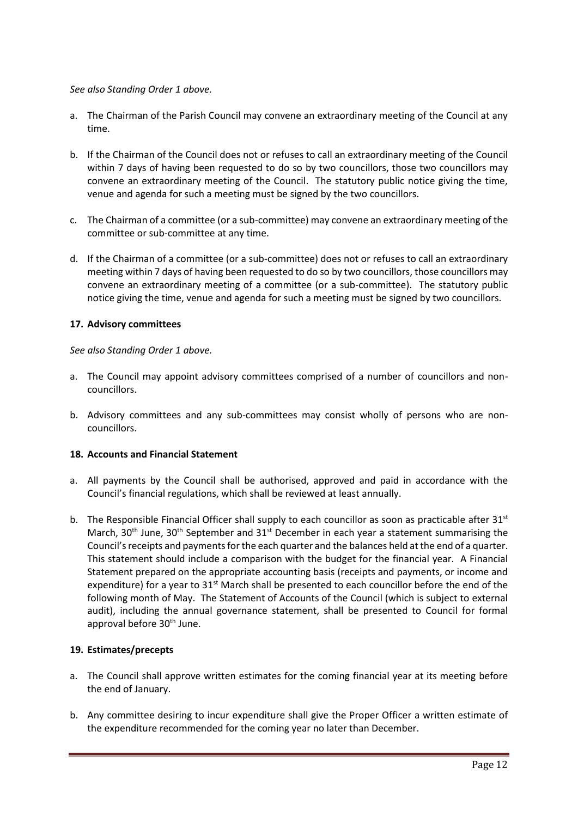# *See also Standing Order 1 above.*

- a. The Chairman of the Parish Council may convene an extraordinary meeting of the Council at any time.
- b. If the Chairman of the Council does not or refuses to call an extraordinary meeting of the Council within 7 days of having been requested to do so by two councillors, those two councillors may convene an extraordinary meeting of the Council. The statutory public notice giving the time, venue and agenda for such a meeting must be signed by the two councillors.
- c. The Chairman of a committee (or a sub-committee) may convene an extraordinary meeting of the committee or sub-committee at any time.
- d. If the Chairman of a committee (or a sub-committee) does not or refuses to call an extraordinary meeting within 7 days of having been requested to do so by two councillors, those councillors may convene an extraordinary meeting of a committee (or a sub-committee). The statutory public notice giving the time, venue and agenda for such a meeting must be signed by two councillors.

# **17. Advisory committees**

*See also Standing Order 1 above.*

- a. The Council may appoint advisory committees comprised of a number of councillors and noncouncillors.
- b. Advisory committees and any sub-committees may consist wholly of persons who are noncouncillors.

### **18. Accounts and Financial Statement**

- a. All payments by the Council shall be authorised, approved and paid in accordance with the Council's financial regulations, which shall be reviewed at least annually.
- b. The Responsible Financial Officer shall supply to each councillor as soon as practicable after  $31<sup>st</sup>$ March,  $30<sup>th</sup>$  June,  $30<sup>th</sup>$  September and  $31<sup>st</sup>$  December in each year a statement summarising the Council's receipts and payments for the each quarter and the balances held at the end of a quarter. This statement should include a comparison with the budget for the financial year. A Financial Statement prepared on the appropriate accounting basis (receipts and payments, or income and expenditure) for a year to  $31^{st}$  March shall be presented to each councillor before the end of the following month of May. The Statement of Accounts of the Council (which is subject to external audit), including the annual governance statement, shall be presented to Council for formal approval before 30<sup>th</sup> June.

### **19. Estimates/precepts**

- a. The Council shall approve written estimates for the coming financial year at its meeting before the end of January.
- b. Any committee desiring to incur expenditure shall give the Proper Officer a written estimate of the expenditure recommended for the coming year no later than December.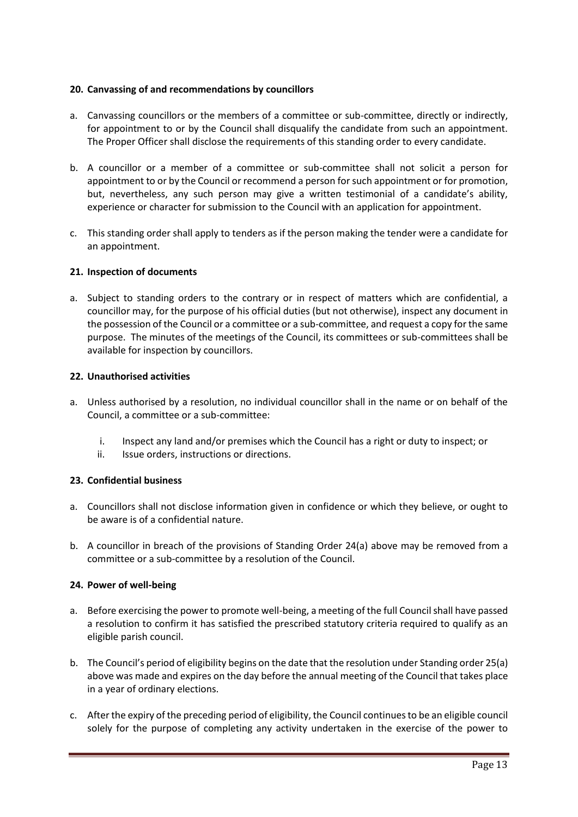## **20. Canvassing of and recommendations by councillors**

- a. Canvassing councillors or the members of a committee or sub-committee, directly or indirectly, for appointment to or by the Council shall disqualify the candidate from such an appointment. The Proper Officer shall disclose the requirements of this standing order to every candidate.
- b. A councillor or a member of a committee or sub-committee shall not solicit a person for appointment to or by the Council or recommend a person for such appointment or for promotion, but, nevertheless, any such person may give a written testimonial of a candidate's ability, experience or character for submission to the Council with an application for appointment.
- c. This standing order shall apply to tenders as if the person making the tender were a candidate for an appointment.

# **21. Inspection of documents**

a. Subject to standing orders to the contrary or in respect of matters which are confidential, a councillor may, for the purpose of his official duties (but not otherwise), inspect any document in the possession of the Council or a committee or a sub-committee, and request a copy for the same purpose. The minutes of the meetings of the Council, its committees or sub-committees shall be available for inspection by councillors.

# **22. Unauthorised activities**

- a. Unless authorised by a resolution, no individual councillor shall in the name or on behalf of the Council, a committee or a sub-committee:
	- i. Inspect any land and/or premises which the Council has a right or duty to inspect; or
	- ii. Issue orders, instructions or directions.

# **23. Confidential business**

- a. Councillors shall not disclose information given in confidence or which they believe, or ought to be aware is of a confidential nature.
- b. A councillor in breach of the provisions of Standing Order 24(a) above may be removed from a committee or a sub-committee by a resolution of the Council.

### **24. Power of well-being**

- a. Before exercising the power to promote well-being, a meeting of the full Council shall have passed a resolution to confirm it has satisfied the prescribed statutory criteria required to qualify as an eligible parish council.
- b. The Council's period of eligibility begins on the date that the resolution under Standing order 25(a) above was made and expires on the day before the annual meeting of the Council that takes place in a year of ordinary elections.
- c. After the expiry of the preceding period of eligibility, the Council continues to be an eligible council solely for the purpose of completing any activity undertaken in the exercise of the power to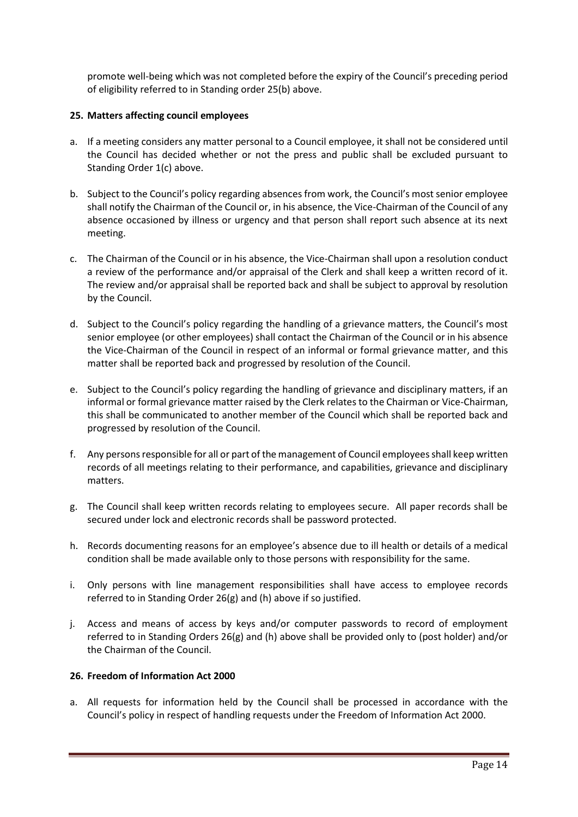promote well-being which was not completed before the expiry of the Council's preceding period of eligibility referred to in Standing order 25(b) above.

# **25. Matters affecting council employees**

- a. If a meeting considers any matter personal to a Council employee, it shall not be considered until the Council has decided whether or not the press and public shall be excluded pursuant to Standing Order 1(c) above.
- b. Subject to the Council's policy regarding absences from work, the Council's most senior employee shall notify the Chairman of the Council or, in his absence, the Vice-Chairman of the Council of any absence occasioned by illness or urgency and that person shall report such absence at its next meeting.
- c. The Chairman of the Council or in his absence, the Vice-Chairman shall upon a resolution conduct a review of the performance and/or appraisal of the Clerk and shall keep a written record of it. The review and/or appraisal shall be reported back and shall be subject to approval by resolution by the Council.
- d. Subject to the Council's policy regarding the handling of a grievance matters, the Council's most senior employee (or other employees) shall contact the Chairman of the Council or in his absence the Vice-Chairman of the Council in respect of an informal or formal grievance matter, and this matter shall be reported back and progressed by resolution of the Council.
- e. Subject to the Council's policy regarding the handling of grievance and disciplinary matters, if an informal or formal grievance matter raised by the Clerk relates to the Chairman or Vice-Chairman, this shall be communicated to another member of the Council which shall be reported back and progressed by resolution of the Council.
- f. Any persons responsible for all or part of the management of Council employees shall keep written records of all meetings relating to their performance, and capabilities, grievance and disciplinary matters.
- g. The Council shall keep written records relating to employees secure. All paper records shall be secured under lock and electronic records shall be password protected.
- h. Records documenting reasons for an employee's absence due to ill health or details of a medical condition shall be made available only to those persons with responsibility for the same.
- i. Only persons with line management responsibilities shall have access to employee records referred to in Standing Order 26(g) and (h) above if so justified.
- j. Access and means of access by keys and/or computer passwords to record of employment referred to in Standing Orders 26(g) and (h) above shall be provided only to (post holder) and/or the Chairman of the Council.

## **26. Freedom of Information Act 2000**

a. All requests for information held by the Council shall be processed in accordance with the Council's policy in respect of handling requests under the Freedom of Information Act 2000.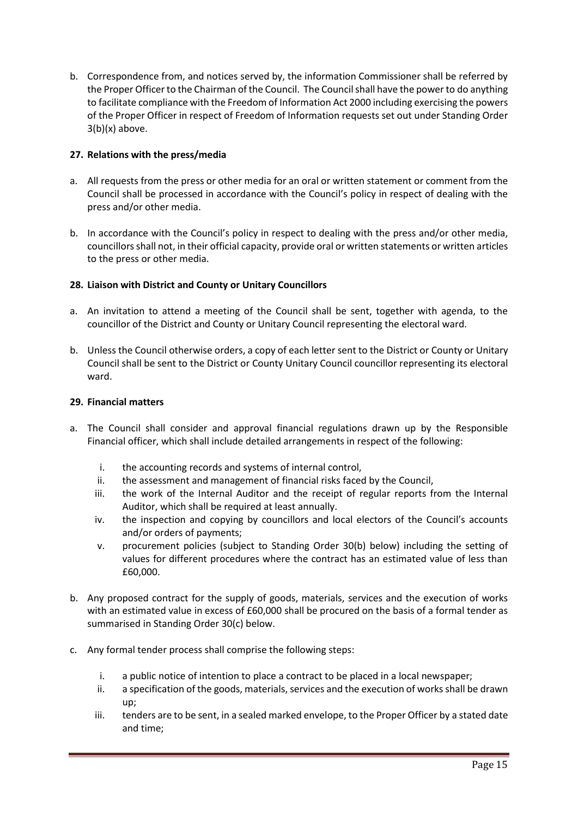b. Correspondence from, and notices served by, the information Commissioner shall be referred by the Proper Officer to the Chairman of the Council. The Council shall have the power to do anything to facilitate compliance with the Freedom of Information Act 2000 including exercising the powers of the Proper Officer in respect of Freedom of Information requests set out under Standing Order  $3(b)(x)$  above.

# **27. Relations with the press/media**

- a. All requests from the press or other media for an oral or written statement or comment from the Council shall be processed in accordance with the Council's policy in respect of dealing with the press and/or other media.
- b. In accordance with the Council's policy in respect to dealing with the press and/or other media, councillors shall not, in their official capacity, provide oral or written statements or written articles to the press or other media.

# **28. Liaison with District and County or Unitary Councillors**

- a. An invitation to attend a meeting of the Council shall be sent, together with agenda, to the councillor of the District and County or Unitary Council representing the electoral ward.
- b. Unless the Council otherwise orders, a copy of each letter sent to the District or County or Unitary Council shall be sent to the District or County Unitary Council councillor representing its electoral ward.

# **29. Financial matters**

- a. The Council shall consider and approval financial regulations drawn up by the Responsible Financial officer, which shall include detailed arrangements in respect of the following:
	- i. the accounting records and systems of internal control,
	- ii. the assessment and management of financial risks faced by the Council,
	- iii. the work of the Internal Auditor and the receipt of regular reports from the Internal Auditor, which shall be required at least annually.
	- iv. the inspection and copying by councillors and local electors of the Council's accounts and/or orders of payments;
	- v. procurement policies (subject to Standing Order 30(b) below) including the setting of values for different procedures where the contract has an estimated value of less than £60,000.
- b. Any proposed contract for the supply of goods, materials, services and the execution of works with an estimated value in excess of £60,000 shall be procured on the basis of a formal tender as summarised in Standing Order 30(c) below.
- c. Any formal tender process shall comprise the following steps:
	- i. a public notice of intention to place a contract to be placed in a local newspaper;
	- ii. a specification of the goods, materials, services and the execution of works shall be drawn up;
	- iii. tenders are to be sent, in a sealed marked envelope, to the Proper Officer by a stated date and time;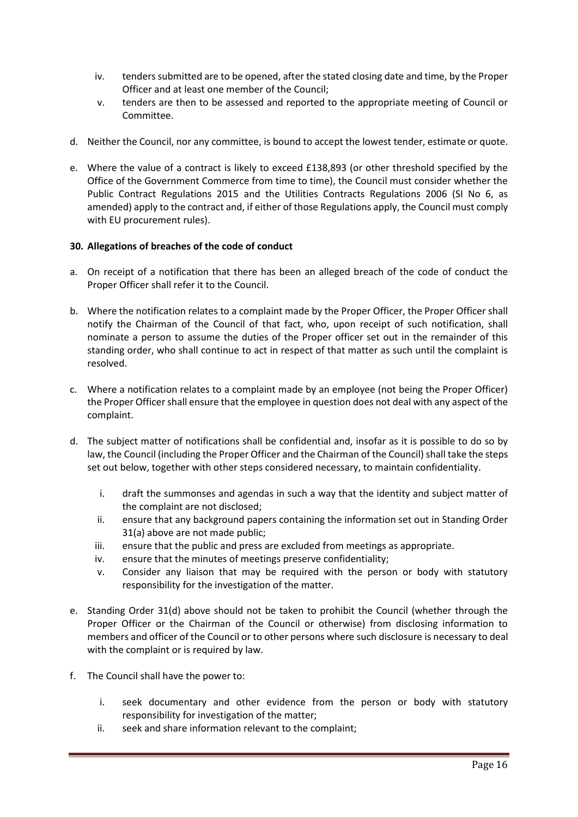- iv. tenders submitted are to be opened, after the stated closing date and time, by the Proper Officer and at least one member of the Council;
- v. tenders are then to be assessed and reported to the appropriate meeting of Council or Committee.
- d. Neither the Council, nor any committee, is bound to accept the lowest tender, estimate or quote.
- e. Where the value of a contract is likely to exceed £138,893 (or other threshold specified by the Office of the Government Commerce from time to time), the Council must consider whether the Public Contract Regulations 2015 and the Utilities Contracts Regulations 2006 (SI No 6, as amended) apply to the contract and, if either of those Regulations apply, the Council must comply with EU procurement rules).

# **30. Allegations of breaches of the code of conduct**

- a. On receipt of a notification that there has been an alleged breach of the code of conduct the Proper Officer shall refer it to the Council.
- b. Where the notification relates to a complaint made by the Proper Officer, the Proper Officer shall notify the Chairman of the Council of that fact, who, upon receipt of such notification, shall nominate a person to assume the duties of the Proper officer set out in the remainder of this standing order, who shall continue to act in respect of that matter as such until the complaint is resolved.
- c. Where a notification relates to a complaint made by an employee (not being the Proper Officer) the Proper Officer shall ensure that the employee in question does not deal with any aspect of the complaint.
- d. The subject matter of notifications shall be confidential and, insofar as it is possible to do so by law, the Council (including the Proper Officer and the Chairman of the Council) shall take the steps set out below, together with other steps considered necessary, to maintain confidentiality.
	- i. draft the summonses and agendas in such a way that the identity and subject matter of the complaint are not disclosed;
	- ii. ensure that any background papers containing the information set out in Standing Order 31(a) above are not made public;
	- iii. ensure that the public and press are excluded from meetings as appropriate.
	- iv. ensure that the minutes of meetings preserve confidentiality;
	- v. Consider any liaison that may be required with the person or body with statutory responsibility for the investigation of the matter.
- e. Standing Order 31(d) above should not be taken to prohibit the Council (whether through the Proper Officer or the Chairman of the Council or otherwise) from disclosing information to members and officer of the Council or to other persons where such disclosure is necessary to deal with the complaint or is required by law.
- f. The Council shall have the power to:
	- i. seek documentary and other evidence from the person or body with statutory responsibility for investigation of the matter;
	- ii. seek and share information relevant to the complaint;